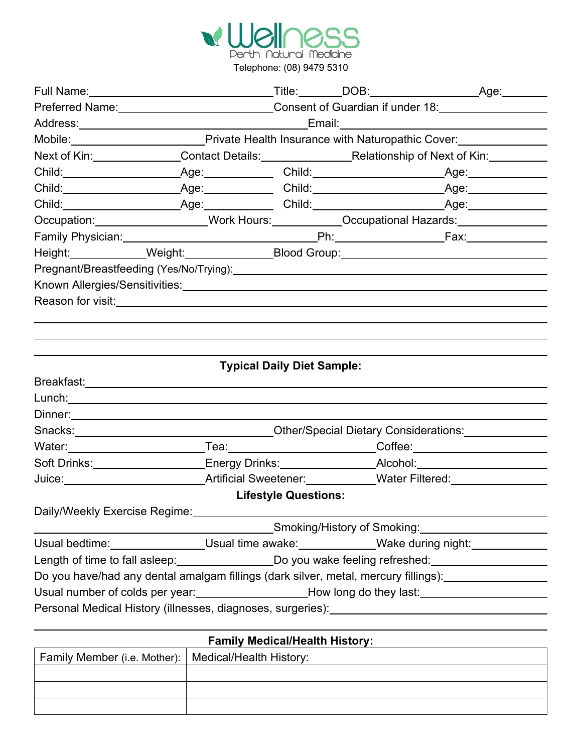

|                                                                                                                                                                                                                                |                                                                                                     |  | Full Name: Age: Age: Title: DOB: Age: Age:                                                                                                                                                                                     |  |  |
|--------------------------------------------------------------------------------------------------------------------------------------------------------------------------------------------------------------------------------|-----------------------------------------------------------------------------------------------------|--|--------------------------------------------------------------------------------------------------------------------------------------------------------------------------------------------------------------------------------|--|--|
|                                                                                                                                                                                                                                |                                                                                                     |  | Preferred Name: 18.1 Consent of Guardian if under 18.                                                                                                                                                                          |  |  |
| Address: Email: Email: Email: Email: Email: Email: Email: Email: Email: Email: Email: Email: Email: Email: Email: Email: Email: Email: Email: Email: Email: Email: Email: Email: Email: Email: Email: Email: Email: Email: Ema |                                                                                                     |  |                                                                                                                                                                                                                                |  |  |
| Mobile: Mobile: Mobile: Mobile: Private Health Insurance with Naturopathic Cover:                                                                                                                                              |                                                                                                     |  |                                                                                                                                                                                                                                |  |  |
|                                                                                                                                                                                                                                | Next of Kin: Contact Details: Relationship of Next of Kin: Contact Details:                         |  |                                                                                                                                                                                                                                |  |  |
|                                                                                                                                                                                                                                |                                                                                                     |  |                                                                                                                                                                                                                                |  |  |
|                                                                                                                                                                                                                                |                                                                                                     |  |                                                                                                                                                                                                                                |  |  |
|                                                                                                                                                                                                                                |                                                                                                     |  |                                                                                                                                                                                                                                |  |  |
|                                                                                                                                                                                                                                | Occupation: ___________________Work Hours: ___________Occupational Hazards: _______________________ |  |                                                                                                                                                                                                                                |  |  |
|                                                                                                                                                                                                                                |                                                                                                     |  |                                                                                                                                                                                                                                |  |  |
|                                                                                                                                                                                                                                |                                                                                                     |  | Height: ____________Weight:________________Blood Group:_________________________                                                                                                                                               |  |  |
|                                                                                                                                                                                                                                |                                                                                                     |  |                                                                                                                                                                                                                                |  |  |
|                                                                                                                                                                                                                                |                                                                                                     |  |                                                                                                                                                                                                                                |  |  |
| Reason for visit: <u>contained</u> and a set of the set of the set of the set of the set of the set of the set of the                                                                                                          |                                                                                                     |  |                                                                                                                                                                                                                                |  |  |
|                                                                                                                                                                                                                                |                                                                                                     |  |                                                                                                                                                                                                                                |  |  |
|                                                                                                                                                                                                                                |                                                                                                     |  |                                                                                                                                                                                                                                |  |  |
|                                                                                                                                                                                                                                |                                                                                                     |  |                                                                                                                                                                                                                                |  |  |
|                                                                                                                                                                                                                                | <b>Typical Daily Diet Sample:</b>                                                                   |  |                                                                                                                                                                                                                                |  |  |
|                                                                                                                                                                                                                                |                                                                                                     |  |                                                                                                                                                                                                                                |  |  |
|                                                                                                                                                                                                                                |                                                                                                     |  |                                                                                                                                                                                                                                |  |  |
|                                                                                                                                                                                                                                |                                                                                                     |  |                                                                                                                                                                                                                                |  |  |
|                                                                                                                                                                                                                                |                                                                                                     |  |                                                                                                                                                                                                                                |  |  |
|                                                                                                                                                                                                                                |                                                                                                     |  |                                                                                                                                                                                                                                |  |  |
|                                                                                                                                                                                                                                |                                                                                                     |  | Soft Drinks:____________________Energy Drinks:________________Alcohol:___________                                                                                                                                              |  |  |
|                                                                                                                                                                                                                                |                                                                                                     |  | Juice: Mater Filtered: Mater Contract Contract Artificial Sweetener: Mater Contract Contract Contract Contract Contract Contract Contract Contract Contract Contract Contract Contract Contract Contract Contract Contract Con |  |  |
|                                                                                                                                                                                                                                | <b>Lifestyle Questions:</b>                                                                         |  |                                                                                                                                                                                                                                |  |  |
| Daily/Weekly Exercise Regime:<br><u>Daily/Weekly Exercise Regime:</u>                                                                                                                                                          |                                                                                                     |  |                                                                                                                                                                                                                                |  |  |
|                                                                                                                                                                                                                                |                                                                                                     |  | Smoking/History of Smoking: Management of Smoking and Smoking and Smoking and Smoking and Smoking and Smoking                                                                                                                  |  |  |
|                                                                                                                                                                                                                                |                                                                                                     |  | Usual bedtime: ________________Usual time awake: _____________Wake during night: __________________                                                                                                                            |  |  |
|                                                                                                                                                                                                                                |                                                                                                     |  | Length of time to fall asleep:_______________________Do you wake feeling refreshed:________________                                                                                                                            |  |  |
|                                                                                                                                                                                                                                |                                                                                                     |  | Do you have/had any dental amalgam fillings (dark silver, metal, mercury fillings):                                                                                                                                            |  |  |
| Usual number of colds per year:<br>Low long do they last:                                                                                                                                                                      |                                                                                                     |  |                                                                                                                                                                                                                                |  |  |
|                                                                                                                                                                                                                                |                                                                                                     |  | Personal Medical History (illnesses, diagnoses, surgeries): _____________________                                                                                                                                              |  |  |
|                                                                                                                                                                                                                                |                                                                                                     |  |                                                                                                                                                                                                                                |  |  |

| <b>Family Medical/Health History:</b>                  |  |  |  |  |  |
|--------------------------------------------------------|--|--|--|--|--|
| Family Member (i.e. Mother):   Medical/Health History: |  |  |  |  |  |
|                                                        |  |  |  |  |  |
|                                                        |  |  |  |  |  |
|                                                        |  |  |  |  |  |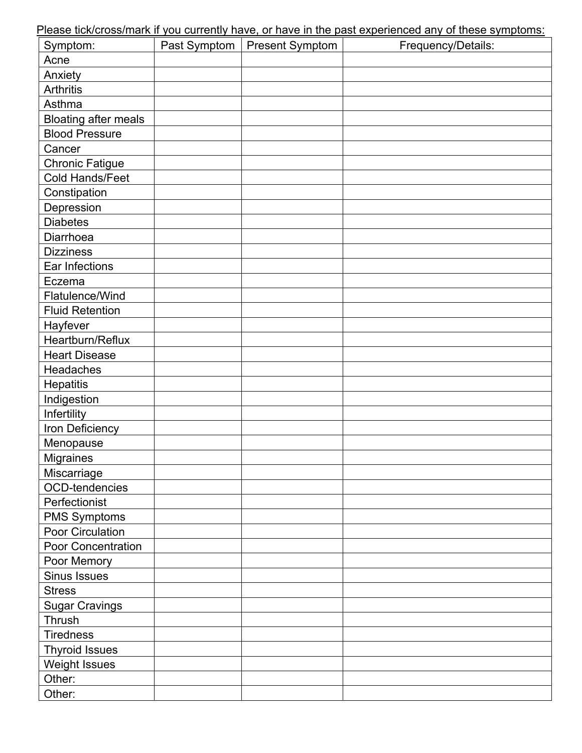Please tick/cross/mark if you currently have, or have in the past experienced any of these symptoms:

| Symptom:<br>Past Symptom<br><b>Present Symptom</b> | Frequency/Details: |
|----------------------------------------------------|--------------------|
| Acne                                               |                    |
| Anxiety                                            |                    |
| <b>Arthritis</b>                                   |                    |
| Asthma                                             |                    |
| <b>Bloating after meals</b>                        |                    |
| <b>Blood Pressure</b>                              |                    |
| Cancer                                             |                    |
| <b>Chronic Fatigue</b>                             |                    |
| Cold Hands/Feet                                    |                    |
| Constipation                                       |                    |
| Depression                                         |                    |
| <b>Diabetes</b>                                    |                    |
| Diarrhoea                                          |                    |
| <b>Dizziness</b>                                   |                    |
| Ear Infections                                     |                    |
| Eczema                                             |                    |
| Flatulence/Wind                                    |                    |
| <b>Fluid Retention</b>                             |                    |
| Hayfever                                           |                    |
| Heartburn/Reflux                                   |                    |
| <b>Heart Disease</b>                               |                    |
| Headaches                                          |                    |
| Hepatitis                                          |                    |
| Indigestion                                        |                    |
| Infertility                                        |                    |
| Iron Deficiency                                    |                    |
| Menopause                                          |                    |
| <b>Migraines</b>                                   |                    |
| Miscarriage                                        |                    |
| OCD-tendencies                                     |                    |
| Perfectionist                                      |                    |
| <b>PMS Symptoms</b>                                |                    |
| Poor Circulation                                   |                    |
| Poor Concentration                                 |                    |
| Poor Memory                                        |                    |
| Sinus Issues                                       |                    |
| <b>Stress</b>                                      |                    |
| <b>Sugar Cravings</b>                              |                    |
| Thrush                                             |                    |
| <b>Tiredness</b>                                   |                    |
| <b>Thyroid Issues</b>                              |                    |
| <b>Weight Issues</b>                               |                    |
| Other:                                             |                    |
| Other:                                             |                    |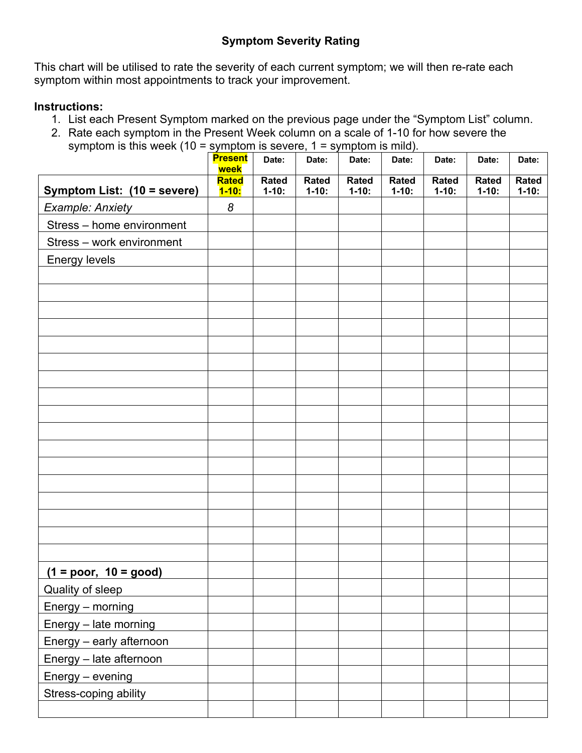This chart will be utilised to rate the severity of each current symptom; we will then re-rate each symptom within most appointments to track your improvement.

## **Instructions:**

- 1. List each Present Symptom marked on the previous page under the "Symptom List" column.
- 2. Rate each symptom in the Present Week column on a scale of 1-10 for how severe the symptom is this week (10 = symptom is severe, 1 = symptom is mild).

|                             | <b>Present</b><br>week    | Date:                    | Date:                   | Date:                     | Date:                   | Date:                    | Date:                    | Date:             |
|-----------------------------|---------------------------|--------------------------|-------------------------|---------------------------|-------------------------|--------------------------|--------------------------|-------------------|
| Symptom List: (10 = severe) | <b>Rated</b><br>$1 - 10:$ | <b>Rated</b><br>$1-10$ : | <b>Rated</b><br>$1-10:$ | <b>Rated</b><br>$1 - 10:$ | <b>Rated</b><br>$1-10:$ | <b>Rated</b><br>$1-10$ : | <b>Rated</b><br>$1-10$ : | Rated<br>$1-10$ : |
| <b>Example: Anxiety</b>     | $\boldsymbol{8}$          |                          |                         |                           |                         |                          |                          |                   |
| Stress - home environment   |                           |                          |                         |                           |                         |                          |                          |                   |
| Stress - work environment   |                           |                          |                         |                           |                         |                          |                          |                   |
| Energy levels               |                           |                          |                         |                           |                         |                          |                          |                   |
|                             |                           |                          |                         |                           |                         |                          |                          |                   |
|                             |                           |                          |                         |                           |                         |                          |                          |                   |
|                             |                           |                          |                         |                           |                         |                          |                          |                   |
|                             |                           |                          |                         |                           |                         |                          |                          |                   |
|                             |                           |                          |                         |                           |                         |                          |                          |                   |
|                             |                           |                          |                         |                           |                         |                          |                          |                   |
|                             |                           |                          |                         |                           |                         |                          |                          |                   |
|                             |                           |                          |                         |                           |                         |                          |                          |                   |
|                             |                           |                          |                         |                           |                         |                          |                          |                   |
|                             |                           |                          |                         |                           |                         |                          |                          |                   |
|                             |                           |                          |                         |                           |                         |                          |                          |                   |
|                             |                           |                          |                         |                           |                         |                          |                          |                   |
|                             |                           |                          |                         |                           |                         |                          |                          |                   |
|                             |                           |                          |                         |                           |                         |                          |                          |                   |
|                             |                           |                          |                         |                           |                         |                          |                          |                   |
|                             |                           |                          |                         |                           |                         |                          |                          |                   |
|                             |                           |                          |                         |                           |                         |                          |                          |                   |
| $(1 = poor, 10 = good)$     |                           |                          |                         |                           |                         |                          |                          |                   |
| <b>Quality of sleep</b>     |                           |                          |                         |                           |                         |                          |                          |                   |
| Energy - morning            |                           |                          |                         |                           |                         |                          |                          |                   |
| Energy - late morning       |                           |                          |                         |                           |                         |                          |                          |                   |
| Energy - early afternoon    |                           |                          |                         |                           |                         |                          |                          |                   |
| Energy - late afternoon     |                           |                          |                         |                           |                         |                          |                          |                   |
| Energy - evening            |                           |                          |                         |                           |                         |                          |                          |                   |
| Stress-coping ability       |                           |                          |                         |                           |                         |                          |                          |                   |
|                             |                           |                          |                         |                           |                         |                          |                          |                   |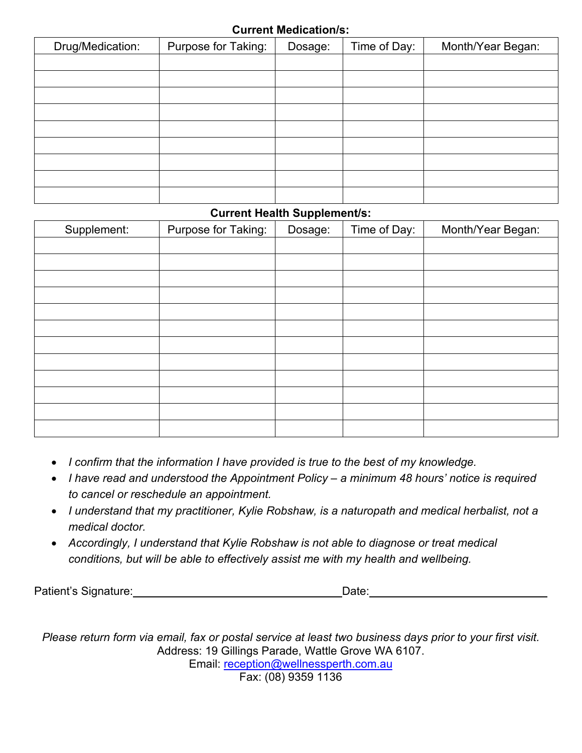## **Current Medication/s:**

| Drug/Medication: | Purpose for Taking: | Dosage: | Time of Day: | Month/Year Began: |
|------------------|---------------------|---------|--------------|-------------------|
|                  |                     |         |              |                   |
|                  |                     |         |              |                   |
|                  |                     |         |              |                   |
|                  |                     |         |              |                   |
|                  |                     |         |              |                   |
|                  |                     |         |              |                   |
|                  |                     |         |              |                   |
|                  |                     |         |              |                   |
|                  |                     |         |              |                   |

## **Current Health Supplement/s:**

| Supplement: | Purpose for Taking: | Dosage: | Time of Day: | Month/Year Began: |
|-------------|---------------------|---------|--------------|-------------------|
|             |                     |         |              |                   |
|             |                     |         |              |                   |
|             |                     |         |              |                   |
|             |                     |         |              |                   |
|             |                     |         |              |                   |
|             |                     |         |              |                   |
|             |                     |         |              |                   |
|             |                     |         |              |                   |
|             |                     |         |              |                   |
|             |                     |         |              |                   |
|             |                     |         |              |                   |
|             |                     |         |              |                   |

- *I confirm that the information I have provided is true to the best of my knowledge.*
- *I have read and understood the Appointment Policy – a minimum 48 hours' notice is required to cancel or reschedule an appointment.*
- *I understand that my practitioner, Kylie Robshaw, is a naturopath and medical herbalist, not a medical doctor.*
- *Accordingly, I understand that Kylie Robshaw is not able to diagnose or treat medical conditions, but will be able to effectively assist me with my health and wellbeing.*

Patient's Signature: Date: Date: Date:

*Please return form via email, fax or postal service at least two business days prior to your first visit.* Address: 19 Gillings Parade, Wattle Grove WA 6107. Email: reception@wellnessperth.com.au Fax: (08) 9359 1136